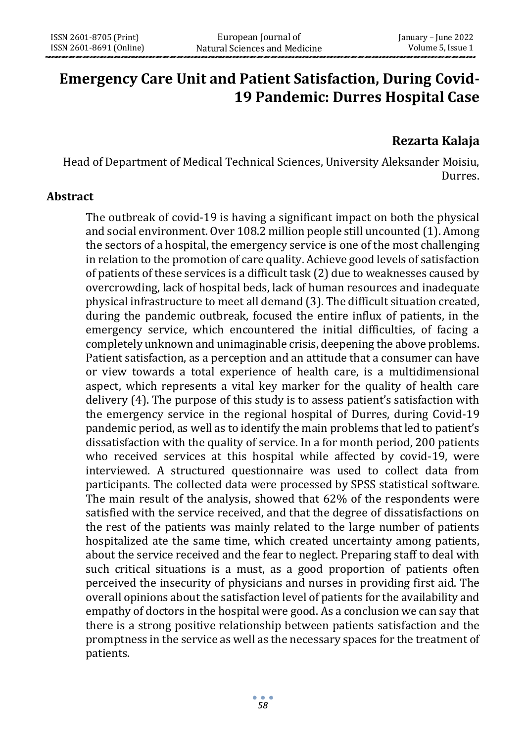# **Emergency Care Unit and Patient Satisfaction, During Covid-19 Pandemic: Durres Hospital Case**

## **Rezarta Kalaja**

Head of Department of Medical Technical Sciences, University Aleksander Moisiu, Durres.

#### **Abstract**

The outbreak of covid-19 is having a significant impact on both the physical and social environment. Over 108.2 million people still uncounted (1). Among the sectors of a hospital, the emergency service is one of the most challenging in relation to the promotion of care quality. Achieve good levels of satisfaction of patients of these services is a difficult task (2) due to weaknesses caused by overcrowding, lack of hospital beds, lack of human resources and inadequate physical infrastructure to meet all demand (3). The difficult situation created, during the pandemic outbreak, focused the entire influx of patients, in the emergency service, which encountered the initial difficulties, of facing a completely unknown and unimaginable crisis, deepening the above problems. Patient satisfaction, as a perception and an attitude that a consumer can have or view towards a total experience of health care, is a multidimensional aspect, which represents a vital key marker for the quality of health care delivery (4). The purpose of this study is to assess patient's satisfaction with the emergency service in the regional hospital of Durres, during Covid-19 pandemic period, as well as to identify the main problems that led to patient's dissatisfaction with the quality of service. In a for month period, 200 patients who received services at this hospital while affected by covid-19, were interviewed. A structured questionnaire was used to collect data from participants. The collected data were processed by SPSS statistical software. The main result of the analysis, showed that 62% of the respondents were satisfied with the service received, and that the degree of dissatisfactions on the rest of the patients was mainly related to the large number of patients hospitalized ate the same time, which created uncertainty among patients, about the service received and the fear to neglect. Preparing staff to deal with such critical situations is a must, as a good proportion of patients often perceived the insecurity of physicians and nurses in providing first aid. The overall opinions about the satisfaction level of patients for the availability and empathy of doctors in the hospital were good. As a conclusion we can say that there is a strong positive relationship between patients satisfaction and the promptness in the service as well as the necessary spaces for the treatment of patients.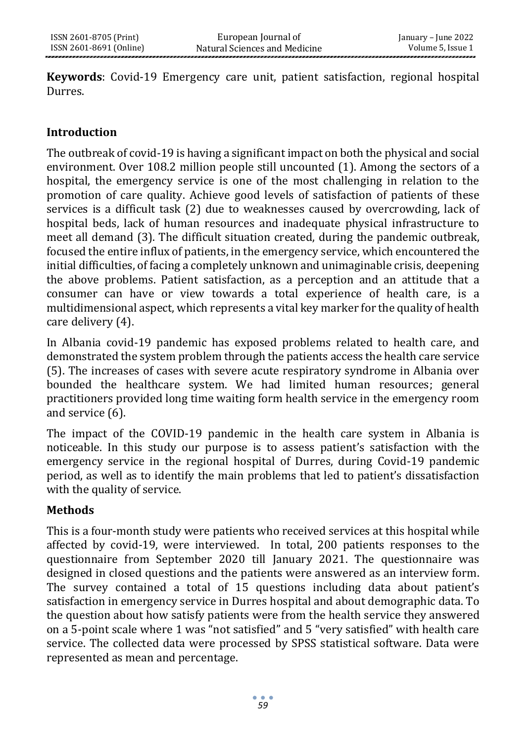**Keywords**: Covid-19 Emergency care unit, patient satisfaction, regional hospital Durres.

### **Introduction**

The outbreak of covid-19 is having a significant impact on both the physical and social environment. Over 108.2 million people still uncounted (1). Among the sectors of a hospital, the emergency service is one of the most challenging in relation to the promotion of care quality. Achieve good levels of satisfaction of patients of these services is a difficult task (2) due to weaknesses caused by overcrowding, lack of hospital beds, lack of human resources and inadequate physical infrastructure to meet all demand (3). The difficult situation created, during the pandemic outbreak, focused the entire influx of patients, in the emergency service, which encountered the initial difficulties, of facing a completely unknown and unimaginable crisis, deepening the above problems. Patient satisfaction, as a perception and an attitude that a consumer can have or view towards a total experience of health care, is a multidimensional aspect, which represents a vital key marker for the quality of health care delivery (4).

In Albania covid-19 pandemic has exposed problems related to health care, and demonstrated the system problem through the patients access the health care service (5). The increases of cases with severe acute respiratory syndrome in Albania over bounded the healthcare system. We had limited human resources; general practitioners provided long time waiting form health service in the emergency room and service (6).

The impact of the COVID-19 pandemic in the health care system in Albania is noticeable. In this study our purpose is to assess patient's satisfaction with the emergency service in the regional hospital of Durres, during Covid-19 pandemic period, as well as to identify the main problems that led to patient's dissatisfaction with the quality of service.

### **Methods**

This is a four-month study were patients who received services at this hospital while affected by covid-19, were interviewed. In total, 200 patients responses to the questionnaire from September 2020 till January 2021. The questionnaire was designed in closed questions and the patients were answered as an interview form. The survey contained a total of 15 questions including data about patient's satisfaction in emergency service in Durres hospital and about demographic data. To the question about how satisfy patients were from the health service they answered on a 5-point scale where 1 was "not satisfied" and 5 "very satisfied" with health care service. The collected data were processed by SPSS statistical software. Data were represented as mean and percentage.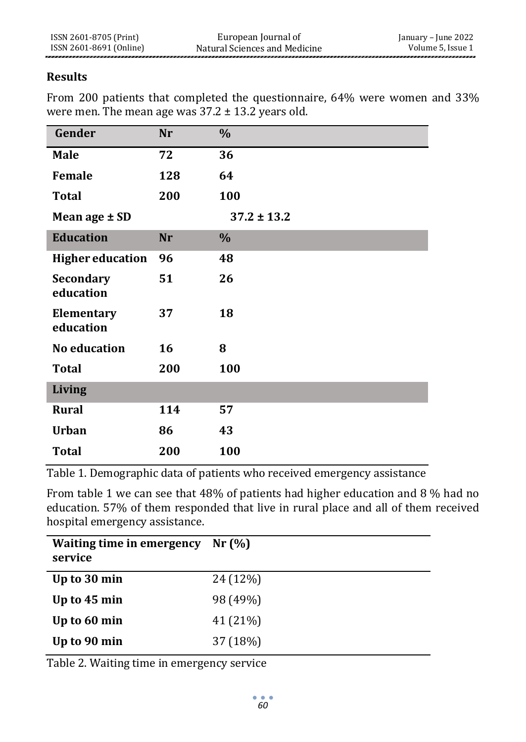### **Results**

From 200 patients that completed the questionnaire, 64% were women and 33% were men. The mean age was  $37.2 \pm 13.2$  years old.

| Gender                        | Nr  | $\%$            |
|-------------------------------|-----|-----------------|
| <b>Male</b>                   | 72  | 36              |
| Female                        | 128 | 64              |
| <b>Total</b>                  | 200 | 100             |
| Mean age ± SD                 |     | $37.2 \pm 13.2$ |
| <b>Education</b>              | Nr  | $\%$            |
| <b>Higher education</b>       | 96  | 48              |
| <b>Secondary</b><br>education | 51  | 26              |
| Elementary<br>education       | 37  | 18              |
| <b>No education</b>           | 16  | 8               |
| <b>Total</b>                  | 200 | 100             |
| <b>Living</b>                 |     |                 |
| <b>Rural</b>                  | 114 | 57              |
| <b>Urban</b>                  | 86  | 43              |
| <b>Total</b>                  | 200 | 100             |

Table 1. Demographic data of patients who received emergency assistance

From table 1 we can see that 48% of patients had higher education and 8 % had no education. 57% of them responded that live in rural place and all of them received hospital emergency assistance.

| Waiting time in emergency<br>service | Nr(%     |
|--------------------------------------|----------|
| Up to 30 min                         | 24 (12%) |
| Up to 45 min                         | 98 (49%) |
| Up to 60 min                         | 41 (21%) |
| Up to 90 min                         | 37 (18%) |

Table 2. Waiting time in emergency service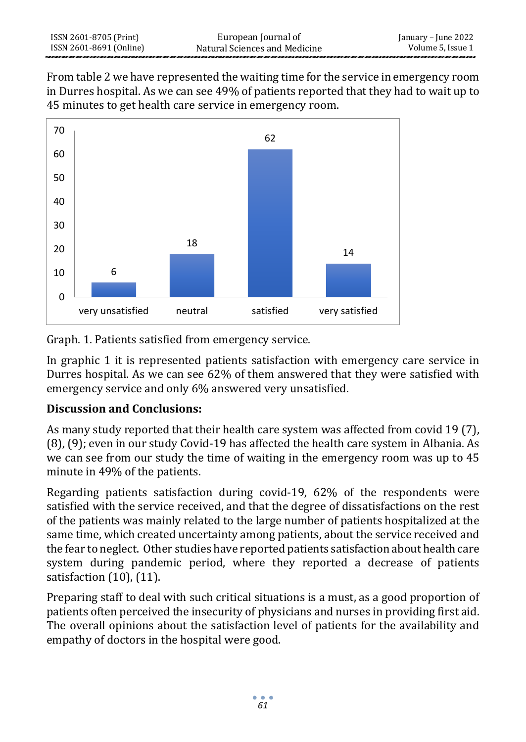From table 2 we have represented the waiting time for the service in emergency room in Durres hospital. As we can see 49% of patients reported that they had to wait up to 45 minutes to get health care service in emergency room.



Graph. 1. Patients satisfied from emergency service.

In graphic 1 it is represented patients satisfaction with emergency care service in Durres hospital. As we can see 62% of them answered that they were satisfied with emergency service and only 6% answered very unsatisfied.

## **Discussion and Conclusions:**

As many study reported that their health care system was affected from covid 19 (7), (8), (9); even in our study Covid-19 has affected the health care system in Albania. As we can see from our study the time of waiting in the emergency room was up to 45 minute in 49% of the patients.

Regarding patients satisfaction during covid-19, 62% of the respondents were satisfied with the service received, and that the degree of dissatisfactions on the rest of the patients was mainly related to the large number of patients hospitalized at the same time, which created uncertainty among patients, about the service received and the fear to neglect. Other studies have reported patients satisfaction about health care system during pandemic period, where they reported a decrease of patients satisfaction (10), (11).

Preparing staff to deal with such critical situations is a must, as a good proportion of patients often perceived the insecurity of physicians and nurses in providing first aid. The overall opinions about the satisfaction level of patients for the availability and empathy of doctors in the hospital were good.